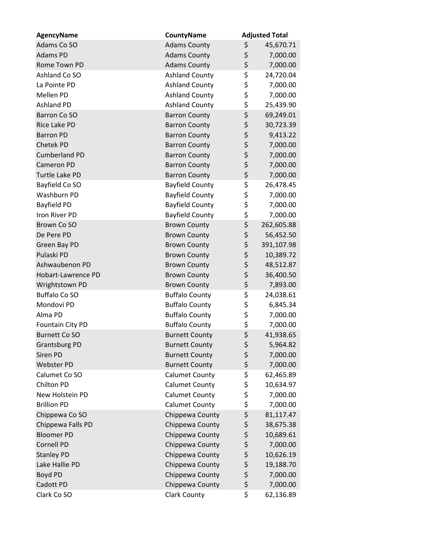| <b>AgencyName</b>    | <b>CountyName</b>      | <b>Adjusted Total</b> |
|----------------------|------------------------|-----------------------|
| Adams Co SO          | <b>Adams County</b>    | \$<br>45,670.71       |
| Adams PD             | <b>Adams County</b>    | \$<br>7,000.00        |
| Rome Town PD         | <b>Adams County</b>    | \$<br>7,000.00        |
| Ashland Co SO        | <b>Ashland County</b>  | \$<br>24,720.04       |
| La Pointe PD         | <b>Ashland County</b>  | \$<br>7,000.00        |
| Mellen PD            | <b>Ashland County</b>  | \$<br>7,000.00        |
| <b>Ashland PD</b>    | <b>Ashland County</b>  | \$<br>25,439.90       |
| Barron Co SO         | <b>Barron County</b>   | \$<br>69,249.01       |
| <b>Rice Lake PD</b>  | <b>Barron County</b>   | \$<br>30,723.39       |
| <b>Barron PD</b>     | <b>Barron County</b>   | \$<br>9,413.22        |
| Chetek PD            | <b>Barron County</b>   | \$<br>7,000.00        |
| <b>Cumberland PD</b> | <b>Barron County</b>   | \$<br>7,000.00        |
| <b>Cameron PD</b>    | <b>Barron County</b>   | \$<br>7,000.00        |
| Turtle Lake PD       | <b>Barron County</b>   | \$<br>7,000.00        |
| Bayfield Co SO       | <b>Bayfield County</b> | \$<br>26,478.45       |
| Washburn PD          | <b>Bayfield County</b> | \$<br>7,000.00        |
| <b>Bayfield PD</b>   | <b>Bayfield County</b> | \$<br>7,000.00        |
| Iron River PD        | <b>Bayfield County</b> | \$<br>7,000.00        |
| Brown Co SO          | <b>Brown County</b>    | \$<br>262,605.88      |
| De Pere PD           | <b>Brown County</b>    | \$<br>56,452.50       |
| Green Bay PD         | <b>Brown County</b>    | \$<br>391,107.98      |
| Pulaski PD           | <b>Brown County</b>    | \$<br>10,389.72       |
| Ashwaubenon PD       | <b>Brown County</b>    | \$<br>48,512.87       |
| Hobart-Lawrence PD   | <b>Brown County</b>    | \$<br>36,400.50       |
| Wrightstown PD       | <b>Brown County</b>    | \$<br>7,893.00        |
| <b>Buffalo Co SO</b> | <b>Buffalo County</b>  | \$<br>24,038.61       |
| Mondovi PD           | <b>Buffalo County</b>  | \$<br>6,845.34        |
| Alma PD              | <b>Buffalo County</b>  | \$<br>7,000.00        |
| Fountain City PD     | <b>Buffalo County</b>  | \$<br>7,000.00        |
| <b>Burnett Co SO</b> | <b>Burnett County</b>  | \$<br>41,938.65       |
| <b>Grantsburg PD</b> | <b>Burnett County</b>  | \$<br>5,964.82        |
| Siren PD             | <b>Burnett County</b>  | \$<br>7,000.00        |
| Webster PD           | <b>Burnett County</b>  | \$<br>7,000.00        |
| Calumet Co SO        | <b>Calumet County</b>  | \$<br>62,465.89       |
| Chilton PD           | <b>Calumet County</b>  | \$<br>10,634.97       |
| New Holstein PD      | <b>Calumet County</b>  | \$<br>7,000.00        |
| <b>Brillion PD</b>   | <b>Calumet County</b>  | \$<br>7,000.00        |
| Chippewa Co SO       | Chippewa County        | \$<br>81,117.47       |
| Chippewa Falls PD    | Chippewa County        | \$<br>38,675.38       |
| <b>Bloomer PD</b>    | Chippewa County        | \$<br>10,689.61       |
| <b>Cornell PD</b>    | Chippewa County        | \$<br>7,000.00        |
| <b>Stanley PD</b>    | Chippewa County        | \$<br>10,626.19       |
| Lake Hallie PD       | Chippewa County        | \$<br>19,188.70       |
| Boyd PD              | Chippewa County        | \$<br>7,000.00        |
| Cadott PD            | Chippewa County        | \$<br>7,000.00        |
| Clark Co SO          | <b>Clark County</b>    | \$<br>62,136.89       |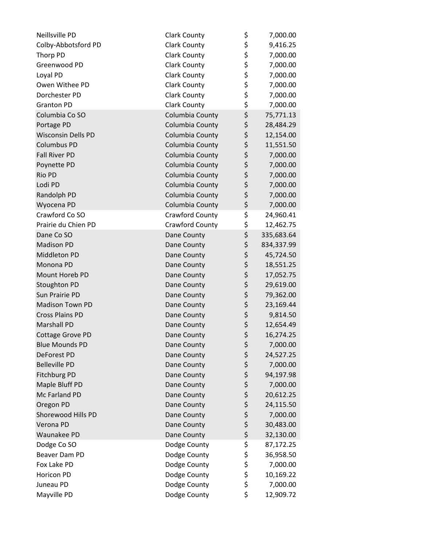| Neillsville PD            | <b>Clark County</b> | \$<br>7,000.00   |
|---------------------------|---------------------|------------------|
| Colby-Abbotsford PD       | <b>Clark County</b> | \$<br>9,416.25   |
| Thorp PD                  | <b>Clark County</b> | \$<br>7,000.00   |
| Greenwood PD              | <b>Clark County</b> | \$<br>7,000.00   |
| Loyal PD                  | <b>Clark County</b> | \$<br>7,000.00   |
| Owen Withee PD            | <b>Clark County</b> | \$<br>7,000.00   |
| Dorchester PD             | <b>Clark County</b> | \$<br>7,000.00   |
| <b>Granton PD</b>         | <b>Clark County</b> | \$<br>7,000.00   |
| Columbia Co SO            | Columbia County     | \$<br>75,771.13  |
| Portage PD                | Columbia County     | \$<br>28,484.29  |
| <b>Wisconsin Dells PD</b> | Columbia County     | \$<br>12,154.00  |
| <b>Columbus PD</b>        | Columbia County     | \$<br>11,551.50  |
| <b>Fall River PD</b>      | Columbia County     | \$<br>7,000.00   |
| Poynette PD               | Columbia County     | \$<br>7,000.00   |
| Rio PD                    | Columbia County     | \$<br>7,000.00   |
| Lodi PD                   | Columbia County     | \$<br>7,000.00   |
| Randolph PD               | Columbia County     | \$<br>7,000.00   |
| Wyocena PD                | Columbia County     | \$<br>7,000.00   |
| Crawford Co SO            | Crawford County     | \$<br>24,960.41  |
| Prairie du Chien PD       | Crawford County     | \$<br>12,462.75  |
| Dane Co SO                | Dane County         | \$<br>335,683.64 |
| <b>Madison PD</b>         | Dane County         | \$<br>834,337.99 |
| Middleton PD              | Dane County         | \$<br>45,724.50  |
| Monona PD                 | Dane County         | \$<br>18,551.25  |
| Mount Horeb PD            | Dane County         | \$<br>17,052.75  |
| Stoughton PD              | Dane County         | \$<br>29,619.00  |
| Sun Prairie PD            | Dane County         | \$<br>79,362.00  |
| <b>Madison Town PD</b>    | Dane County         | \$<br>23,169.44  |
| <b>Cross Plains PD</b>    | Dane County         | \$<br>9,814.50   |
| <b>Marshall PD</b>        | Dane County         | \$<br>12,654.49  |
| <b>Cottage Grove PD</b>   | Dane County         | \$<br>16,274.25  |
| <b>Blue Mounds PD</b>     | Dane County         | \$<br>7,000.00   |
| DeForest PD               | Dane County         | \$<br>24,527.25  |
| <b>Belleville PD</b>      | Dane County         | \$<br>7,000.00   |
| <b>Fitchburg PD</b>       | Dane County         | \$<br>94,197.98  |
| Maple Bluff PD            | Dane County         | \$<br>7,000.00   |
| Mc Farland PD             | Dane County         | \$<br>20,612.25  |
| Oregon PD                 | Dane County         | \$<br>24,115.50  |
| Shorewood Hills PD        | Dane County         | \$<br>7,000.00   |
| Verona PD                 | Dane County         | \$<br>30,483.00  |
| Waunakee PD               | Dane County         | \$<br>32,130.00  |
| Dodge Co SO               | Dodge County        | \$<br>87,172.25  |
| Beaver Dam PD             | Dodge County        | \$<br>36,958.50  |
| Fox Lake PD               | Dodge County        | \$<br>7,000.00   |
| Horicon PD                | Dodge County        | \$<br>10,169.22  |
| Juneau PD                 | Dodge County        | \$<br>7,000.00   |
| Mayville PD               | Dodge County        | \$<br>12,909.72  |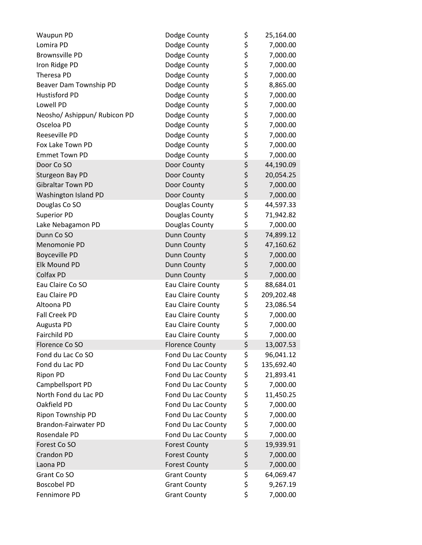| Waupun PD                    | Dodge County           | \$       | 25,164.00  |
|------------------------------|------------------------|----------|------------|
| Lomira PD                    | Dodge County           |          | 7,000.00   |
| <b>Brownsville PD</b>        | Dodge County           | \$<br>\$ | 7,000.00   |
| Iron Ridge PD                | Dodge County           | \$       | 7,000.00   |
| Theresa PD                   | Dodge County           | \$       | 7,000.00   |
| Beaver Dam Township PD       | Dodge County           | \$       | 8,865.00   |
| <b>Hustisford PD</b>         | Dodge County           | \$       | 7,000.00   |
| Lowell PD                    | Dodge County           | \$       | 7,000.00   |
| Neosho/ Ashippun/ Rubicon PD | Dodge County           | \$       | 7,000.00   |
| Osceloa PD                   | Dodge County           | \$       | 7,000.00   |
| Reeseville PD                | Dodge County           | \$       | 7,000.00   |
| Fox Lake Town PD             | Dodge County           | \$       | 7,000.00   |
| <b>Emmet Town PD</b>         | Dodge County           | \$       | 7,000.00   |
| Door Co SO                   | Door County            | \$       | 44,190.09  |
| Sturgeon Bay PD              | Door County            | \$       | 20,054.25  |
| <b>Gibraltar Town PD</b>     | Door County            | \$       | 7,000.00   |
| Washington Island PD         | Door County            | \$       | 7,000.00   |
| Douglas Co SO                | Douglas County         | \$       | 44,597.33  |
| <b>Superior PD</b>           | Douglas County         | \$       | 71,942.82  |
| Lake Nebagamon PD            | Douglas County         | \$       | 7,000.00   |
| Dunn Co SO                   | Dunn County            | \$       | 74,899.12  |
| Menomonie PD                 | Dunn County            | \$       | 47,160.62  |
| <b>Boyceville PD</b>         | Dunn County            | \$       | 7,000.00   |
| Elk Mound PD                 | Dunn County            | \$       | 7,000.00   |
| Colfax PD                    | Dunn County            | \$       | 7,000.00   |
| Eau Claire Co SO             | Eau Claire County      | \$       | 88,684.01  |
| Eau Claire PD                | Eau Claire County      | \$       | 209,202.48 |
| Altoona PD                   | Eau Claire County      | \$       | 23,086.54  |
| Fall Creek PD                | Eau Claire County      | \$       | 7,000.00   |
| Augusta PD                   | Eau Claire County      | \$       | 7,000.00   |
| Fairchild PD                 | Eau Claire County      | \$       | 7,000.00   |
| Florence Co SO               | <b>Florence County</b> | \$       | 13,007.53  |
| Fond du Lac Co SO            | Fond Du Lac County     | \$       | 96,041.12  |
| Fond du Lac PD               | Fond Du Lac County     | \$       | 135,692.40 |
| <b>Ripon PD</b>              | Fond Du Lac County     | \$       | 21,893.41  |
| Campbellsport PD             | Fond Du Lac County     | \$       | 7,000.00   |
| North Fond du Lac PD         | Fond Du Lac County     | \$       | 11,450.25  |
| Oakfield PD                  | Fond Du Lac County     | \$       | 7,000.00   |
| Ripon Township PD            | Fond Du Lac County     | \$       | 7,000.00   |
| Brandon-Fairwater PD         | Fond Du Lac County     | \$       | 7,000.00   |
| Rosendale PD                 | Fond Du Lac County     | \$       | 7,000.00   |
| Forest Co SO                 | <b>Forest County</b>   | \$       | 19,939.91  |
| <b>Crandon PD</b>            | <b>Forest County</b>   | \$       | 7,000.00   |
| Laona PD                     | <b>Forest County</b>   | \$       | 7,000.00   |
| Grant Co SO                  | <b>Grant County</b>    | \$       | 64,069.47  |
| <b>Boscobel PD</b>           | <b>Grant County</b>    | \$       | 9,267.19   |
| Fennimore PD                 | <b>Grant County</b>    | \$       | 7,000.00   |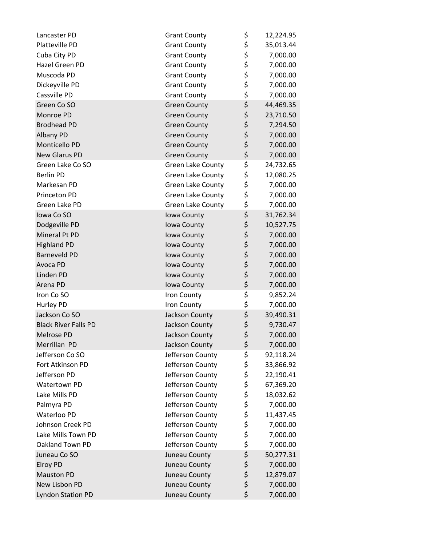| Lancaster PD                | <b>Grant County</b>      | \$<br>12,224.95 |
|-----------------------------|--------------------------|-----------------|
| Platteville PD              | <b>Grant County</b>      | \$<br>35,013.44 |
| Cuba City PD                | <b>Grant County</b>      | \$<br>7,000.00  |
| Hazel Green PD              | <b>Grant County</b>      | \$<br>7,000.00  |
| Muscoda PD                  | <b>Grant County</b>      | \$<br>7,000.00  |
| Dickeyville PD              | <b>Grant County</b>      | \$<br>7,000.00  |
| Cassville PD                | <b>Grant County</b>      | \$<br>7,000.00  |
| Green Co SO                 | <b>Green County</b>      | \$<br>44,469.35 |
| Monroe PD                   | <b>Green County</b>      | \$<br>23,710.50 |
| <b>Brodhead PD</b>          | <b>Green County</b>      | \$<br>7,294.50  |
| Albany PD                   | <b>Green County</b>      | \$<br>7,000.00  |
| Monticello PD               | <b>Green County</b>      | \$<br>7,000.00  |
| New Glarus PD               | <b>Green County</b>      | \$<br>7,000.00  |
| Green Lake Co SO            | <b>Green Lake County</b> | \$<br>24,732.65 |
| <b>Berlin PD</b>            | <b>Green Lake County</b> | \$<br>12,080.25 |
| Markesan PD                 | <b>Green Lake County</b> | \$<br>7,000.00  |
| Princeton PD                | <b>Green Lake County</b> | \$<br>7,000.00  |
| Green Lake PD               | <b>Green Lake County</b> | \$<br>7,000.00  |
| Iowa Co SO                  | Iowa County              | \$<br>31,762.34 |
| Dodgeville PD               | Iowa County              | \$<br>10,527.75 |
| Mineral Pt PD               | Iowa County              | \$<br>7,000.00  |
| <b>Highland PD</b>          | Iowa County              | \$<br>7,000.00  |
| <b>Barneveld PD</b>         | Iowa County              | \$<br>7,000.00  |
| Avoca PD                    | Iowa County              | \$<br>7,000.00  |
| Linden PD                   | Iowa County              | \$<br>7,000.00  |
| Arena PD                    | Iowa County              | \$<br>7,000.00  |
| Iron Co SO                  | Iron County              | \$<br>9,852.24  |
| Hurley PD                   | Iron County              | \$<br>7,000.00  |
| Jackson Co SO               | Jackson County           | \$<br>39,490.31 |
| <b>Black River Falls PD</b> | Jackson County           | \$<br>9,730.47  |
| Melrose PD                  | Jackson County           | \$<br>7,000.00  |
| Merrillan PD                | Jackson County           | \$<br>7,000.00  |
| Jefferson Co SO             | Jefferson County         | \$<br>92,118.24 |
| Fort Atkinson PD            | Jefferson County         | \$<br>33,866.92 |
| Jefferson PD                | Jefferson County         | \$<br>22,190.41 |
| Watertown PD                | Jefferson County         | \$<br>67,369.20 |
| Lake Mills PD               | Jefferson County         | \$<br>18,032.62 |
| Palmyra PD                  | Jefferson County         | \$<br>7,000.00  |
| Waterloo PD                 | Jefferson County         | \$<br>11,437.45 |
| Johnson Creek PD            | Jefferson County         | \$<br>7,000.00  |
| Lake Mills Town PD          | Jefferson County         | \$<br>7,000.00  |
| Oakland Town PD             | Jefferson County         | \$<br>7,000.00  |
| Juneau Co SO                | Juneau County            | \$<br>50,277.31 |
| Elroy PD                    | Juneau County            | \$<br>7,000.00  |
| <b>Mauston PD</b>           | Juneau County            | \$<br>12,879.07 |
| New Lisbon PD               | Juneau County            | \$<br>7,000.00  |
| <b>Lyndon Station PD</b>    | Juneau County            | \$<br>7,000.00  |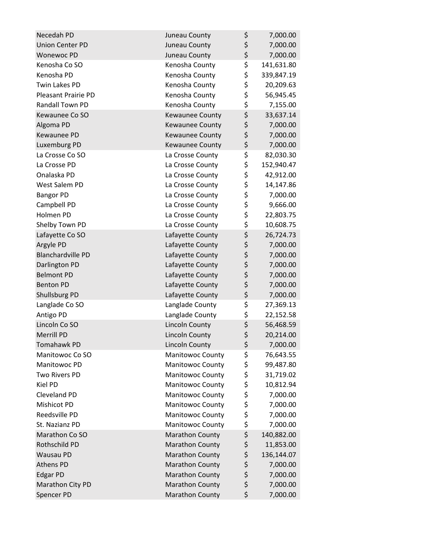| Necedah PD               | Juneau County           | \$<br>7,000.00   |
|--------------------------|-------------------------|------------------|
| <b>Union Center PD</b>   | Juneau County           | \$<br>7,000.00   |
| <b>Wonewoc PD</b>        | Juneau County           | \$<br>7,000.00   |
| Kenosha Co SO            | Kenosha County          | \$<br>141,631.80 |
| Kenosha PD               | Kenosha County          | \$<br>339,847.19 |
| <b>Twin Lakes PD</b>     | Kenosha County          | \$<br>20,209.63  |
| Pleasant Prairie PD      | Kenosha County          | \$<br>56,945.45  |
| Randall Town PD          | Kenosha County          | \$<br>7,155.00   |
| Kewaunee Co SO           | <b>Kewaunee County</b>  | \$<br>33,637.14  |
| Algoma PD                | Kewaunee County         | \$<br>7,000.00   |
| Kewaunee PD              | <b>Kewaunee County</b>  | \$<br>7,000.00   |
| Luxemburg PD             | <b>Kewaunee County</b>  | \$<br>7,000.00   |
| La Crosse Co SO          | La Crosse County        | \$<br>82,030.30  |
| La Crosse PD             | La Crosse County        | \$<br>152,940.47 |
| Onalaska PD              | La Crosse County        | \$<br>42,912.00  |
| West Salem PD            | La Crosse County        | \$<br>14,147.86  |
| <b>Bangor PD</b>         | La Crosse County        | \$<br>7,000.00   |
| Campbell PD              | La Crosse County        | \$<br>9,666.00   |
| Holmen PD                | La Crosse County        | \$<br>22,803.75  |
| Shelby Town PD           | La Crosse County        | \$<br>10,608.75  |
| Lafayette Co SO          | Lafayette County        | \$<br>26,724.73  |
| Argyle PD                | Lafayette County        | \$<br>7,000.00   |
| <b>Blanchardville PD</b> | Lafayette County        | \$<br>7,000.00   |
| Darlington PD            | Lafayette County        | \$<br>7,000.00   |
| <b>Belmont PD</b>        | Lafayette County        | \$<br>7,000.00   |
| <b>Benton PD</b>         | Lafayette County        | \$<br>7,000.00   |
| Shullsburg PD            | Lafayette County        | \$<br>7,000.00   |
| Langlade Co SO           | Langlade County         | \$<br>27,369.13  |
| Antigo PD                | Langlade County         | \$<br>22,152.58  |
| Lincoln Co SO            | <b>Lincoln County</b>   | \$<br>56,468.59  |
| <b>Merrill PD</b>        | <b>Lincoln County</b>   | \$<br>20,214.00  |
| <b>Tomahawk PD</b>       | Lincoln County          | \$<br>7,000.00   |
| Manitowoc Co SO          | <b>Manitowoc County</b> | \$<br>76,643.55  |
| Manitowoc PD             | <b>Manitowoc County</b> | \$<br>99,487.80  |
| <b>Two Rivers PD</b>     | <b>Manitowoc County</b> | \$<br>31,719.02  |
| Kiel PD                  | <b>Manitowoc County</b> | \$<br>10,812.94  |
| <b>Cleveland PD</b>      | <b>Manitowoc County</b> | \$<br>7,000.00   |
| Mishicot PD              | <b>Manitowoc County</b> | \$<br>7,000.00   |
| Reedsville PD            | <b>Manitowoc County</b> | \$<br>7,000.00   |
| St. Nazianz PD           | Manitowoc County        | \$<br>7,000.00   |
| Marathon Co SO           | <b>Marathon County</b>  | \$<br>140,882.00 |
| Rothschild PD            | <b>Marathon County</b>  | \$<br>11,853.00  |
| <b>Wausau PD</b>         | <b>Marathon County</b>  | \$<br>136,144.07 |
| <b>Athens PD</b>         | <b>Marathon County</b>  | \$<br>7,000.00   |
| <b>Edgar PD</b>          | <b>Marathon County</b>  | \$<br>7,000.00   |
| Marathon City PD         | Marathon County         | \$<br>7,000.00   |
| Spencer PD               | <b>Marathon County</b>  | \$<br>7,000.00   |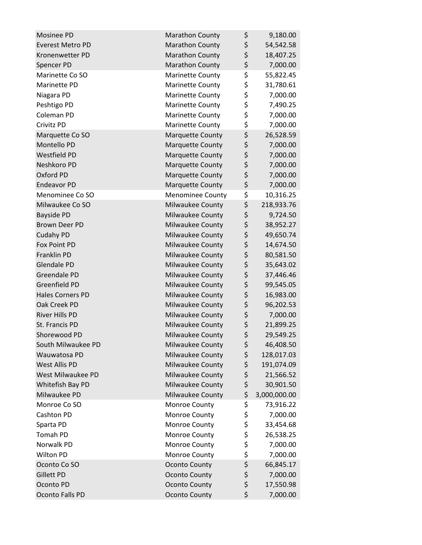| Mosinee PD              | <b>Marathon County</b>  | \$<br>9,180.00     |
|-------------------------|-------------------------|--------------------|
| <b>Everest Metro PD</b> | <b>Marathon County</b>  | \$<br>54,542.58    |
| Kronenwetter PD         | <b>Marathon County</b>  | \$<br>18,407.25    |
| Spencer PD              | <b>Marathon County</b>  | \$<br>7,000.00     |
| Marinette Co SO         | <b>Marinette County</b> | \$<br>55,822.45    |
| Marinette PD            | <b>Marinette County</b> | \$<br>31,780.61    |
| Niagara PD              | <b>Marinette County</b> | \$<br>7,000.00     |
| Peshtigo PD             | <b>Marinette County</b> | \$<br>7,490.25     |
| Coleman PD              | <b>Marinette County</b> | \$<br>7,000.00     |
| Crivitz PD              | <b>Marinette County</b> | \$<br>7,000.00     |
| Marquette Co SO         | <b>Marquette County</b> | \$<br>26,528.59    |
| Montello PD             | <b>Marquette County</b> | \$<br>7,000.00     |
| Westfield PD            | <b>Marquette County</b> | \$<br>7,000.00     |
| Neshkoro PD             | <b>Marquette County</b> | \$<br>7,000.00     |
| Oxford PD               | <b>Marquette County</b> | \$<br>7,000.00     |
| <b>Endeavor PD</b>      | <b>Marquette County</b> | \$<br>7,000.00     |
| Menominee Co SO         | <b>Menominee County</b> | \$<br>10,316.25    |
| Milwaukee Co SO         | Milwaukee County        | \$<br>218,933.76   |
| <b>Bayside PD</b>       | Milwaukee County        | \$<br>9,724.50     |
| <b>Brown Deer PD</b>    | Milwaukee County        | \$<br>38,952.27    |
| <b>Cudahy PD</b>        | Milwaukee County        | \$<br>49,650.74    |
| Fox Point PD            | Milwaukee County        | \$<br>14,674.50    |
| Franklin PD             | Milwaukee County        | \$<br>80,581.50    |
| <b>Glendale PD</b>      | Milwaukee County        | \$<br>35,643.02    |
| Greendale PD            | Milwaukee County        | \$<br>37,446.46    |
| Greenfield PD           | Milwaukee County        | \$<br>99,545.05    |
| <b>Hales Corners PD</b> | Milwaukee County        | \$<br>16,983.00    |
| Oak Creek PD            | <b>Milwaukee County</b> | \$<br>96,202.53    |
| River Hills PD          | Milwaukee County        | \$<br>7,000.00     |
| St. Francis PD          | Milwaukee County        | \$<br>21,899.25    |
| Shorewood PD            | <b>Milwaukee County</b> | \$<br>29,549.25    |
| South Milwaukee PD      | Milwaukee County        | \$<br>46,408.50    |
| Wauwatosa PD            | Milwaukee County        | \$<br>128,017.03   |
| West Allis PD           | Milwaukee County        | \$<br>191,074.09   |
| West Milwaukee PD       | Milwaukee County        | \$<br>21,566.52    |
| Whitefish Bay PD        | Milwaukee County        | \$<br>30,901.50    |
| Milwaukee PD            | Milwaukee County        | \$<br>3,000,000.00 |
| Monroe Co SO            | Monroe County           | \$<br>73,916.22    |
| Cashton PD              | Monroe County           | \$<br>7,000.00     |
| Sparta PD               | Monroe County           | \$<br>33,454.68    |
| <b>Tomah PD</b>         | Monroe County           | \$<br>26,538.25    |
| Norwalk PD              | Monroe County           | \$<br>7,000.00     |
| Wilton PD               | Monroe County           | \$<br>7,000.00     |
| Oconto Co SO            | <b>Oconto County</b>    | \$<br>66,845.17    |
| <b>Gillett PD</b>       | <b>Oconto County</b>    | \$<br>7,000.00     |
| Oconto PD               | <b>Oconto County</b>    | \$<br>17,550.98    |
| Oconto Falls PD         | <b>Oconto County</b>    | \$<br>7,000.00     |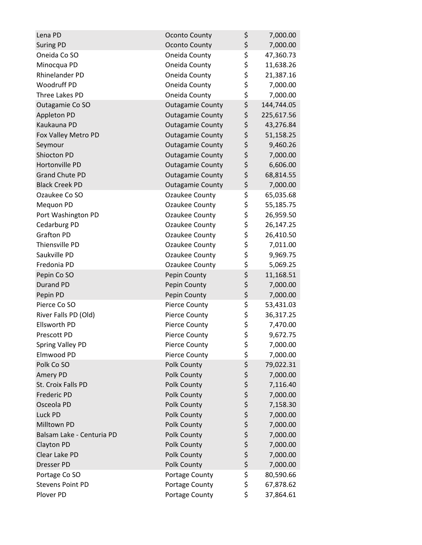| Lena PD                   | <b>Oconto County</b>    | \$       | 7,000.00   |
|---------------------------|-------------------------|----------|------------|
| <b>Suring PD</b>          | <b>Oconto County</b>    | \$       | 7,000.00   |
| Oneida Co SO              | Oneida County           | \$       | 47,360.73  |
| Minocqua PD               | Oneida County           | \$       | 11,638.26  |
| Rhinelander PD            | Oneida County           | \$       | 21,387.16  |
| Woodruff PD               | Oneida County           | \$       | 7,000.00   |
| Three Lakes PD            | Oneida County           | \$       | 7,000.00   |
| Outagamie Co SO           | <b>Outagamie County</b> | \$       | 144,744.05 |
| Appleton PD               | <b>Outagamie County</b> | \$       | 225,617.56 |
| Kaukauna PD               | <b>Outagamie County</b> | \$       | 43,276.84  |
| Fox Valley Metro PD       | <b>Outagamie County</b> | \$       | 51,158.25  |
| Seymour                   | <b>Outagamie County</b> | \$       | 9,460.26   |
| Shiocton PD               | <b>Outagamie County</b> | \$       | 7,000.00   |
| Hortonville PD            | <b>Outagamie County</b> | \$       | 6,606.00   |
| <b>Grand Chute PD</b>     | <b>Outagamie County</b> | \$       | 68,814.55  |
| <b>Black Creek PD</b>     | <b>Outagamie County</b> | \$       | 7,000.00   |
| Ozaukee Co SO             | Ozaukee County          | \$       | 65,035.68  |
| Mequon PD                 | Ozaukee County          | \$       | 55,185.75  |
| Port Washington PD        | Ozaukee County          | \$       | 26,959.50  |
| Cedarburg PD              | Ozaukee County          | \$       | 26,147.25  |
| <b>Grafton PD</b>         | Ozaukee County          | \$       | 26,410.50  |
| Thiensville PD            | Ozaukee County          | \$       | 7,011.00   |
| Saukville PD              | Ozaukee County          | \$       | 9,969.75   |
| Fredonia PD               | Ozaukee County          | \$       | 5,069.25   |
| Pepin Co SO               | Pepin County            | \$       | 11,168.51  |
| <b>Durand PD</b>          | Pepin County            | \$       | 7,000.00   |
| Pepin PD                  | Pepin County            | \$       | 7,000.00   |
| Pierce Co SO              | Pierce County           | \$       | 53,431.03  |
| River Falls PD (Old)      | Pierce County           | \$       | 36,317.25  |
| <b>Ellsworth PD</b>       | Pierce County           | \$       | 7,470.00   |
| Prescott PD               | <b>Pierce County</b>    | \$       | 9,672.75   |
| Spring Valley PD          | <b>Pierce County</b>    | \$       | 7,000.00   |
| Elmwood PD                | Pierce County           | \$       | 7,000.00   |
| Polk Co SO                | Polk County             | \$       | 79,022.31  |
| Amery PD                  | Polk County             | \$       | 7,000.00   |
| St. Croix Falls PD        | Polk County             | \$       | 7,116.40   |
| <b>Frederic PD</b>        | Polk County             | \$       | 7,000.00   |
| Osceola PD                | Polk County             | \$       | 7,158.30   |
| Luck PD                   | Polk County             |          | 7,000.00   |
| Milltown PD               | Polk County             | \$<br>\$ | 7,000.00   |
| Balsam Lake - Centuria PD | Polk County             | \$       | 7,000.00   |
| <b>Clayton PD</b>         | Polk County             | \$       | 7,000.00   |
| Clear Lake PD             | Polk County             | \$       | 7,000.00   |
| Dresser PD                | Polk County             | \$       | 7,000.00   |
| Portage Co SO             | Portage County          | \$       | 80,590.66  |
| <b>Stevens Point PD</b>   | Portage County          | \$       | 67,878.62  |
| Plover PD                 | Portage County          | \$       | 37,864.61  |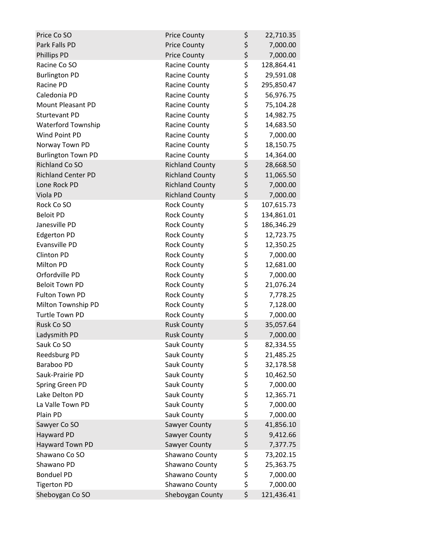| Price Co SO               | <b>Price County</b>    | \$     | 22,710.35  |
|---------------------------|------------------------|--------|------------|
| Park Falls PD             | <b>Price County</b>    | \$     | 7,000.00   |
| <b>Phillips PD</b>        | <b>Price County</b>    | \$     | 7,000.00   |
| Racine Co SO              | Racine County          | \$     | 128,864.41 |
| <b>Burlington PD</b>      | Racine County          | \$     | 29,591.08  |
| Racine PD                 | Racine County          | \$     | 295,850.47 |
| Caledonia PD              | Racine County          | \$     | 56,976.75  |
| <b>Mount Pleasant PD</b>  | Racine County          | \$     | 75,104.28  |
| <b>Sturtevant PD</b>      | Racine County          | \$     | 14,982.75  |
| <b>Waterford Township</b> | Racine County          | \$     | 14,683.50  |
| Wind Point PD             | Racine County          | \$     | 7,000.00   |
| Norway Town PD            | Racine County          | \$     | 18,150.75  |
| <b>Burlington Town PD</b> | Racine County          | \$     | 14,364.00  |
| <b>Richland Co SO</b>     | <b>Richland County</b> | \$     | 28,668.50  |
| <b>Richland Center PD</b> | <b>Richland County</b> | \$     | 11,065.50  |
| Lone Rock PD              | <b>Richland County</b> | \$     | 7,000.00   |
| Viola PD                  | <b>Richland County</b> | \$     | 7,000.00   |
| Rock Co SO                | <b>Rock County</b>     | \$     | 107,615.73 |
| <b>Beloit PD</b>          | <b>Rock County</b>     | \$     | 134,861.01 |
| Janesville PD             | <b>Rock County</b>     | \$     | 186,346.29 |
| <b>Edgerton PD</b>        | <b>Rock County</b>     | \$     | 12,723.75  |
| Evansville PD             | <b>Rock County</b>     | \$     | 12,350.25  |
| <b>Clinton PD</b>         | <b>Rock County</b>     | \$     | 7,000.00   |
| Milton PD                 | <b>Rock County</b>     | \$     | 12,681.00  |
| Orfordville PD            | <b>Rock County</b>     | \$     | 7,000.00   |
| <b>Beloit Town PD</b>     | <b>Rock County</b>     | \$     | 21,076.24  |
| Fulton Town PD            | <b>Rock County</b>     | \$     | 7,778.25   |
| Milton Township PD        | <b>Rock County</b>     | \$     | 7,128.00   |
| <b>Turtle Town PD</b>     | <b>Rock County</b>     | \$     | 7,000.00   |
| Rusk Co SO                | <b>Rusk County</b>     | \$     | 35,057.64  |
| Ladysmith PD              | <b>Rusk County</b>     | \$     | 7,000.00   |
| Sauk Co SO                | Sauk County            | \$     | 82,334.55  |
| Reedsburg PD              | Sauk County            | \$     | 21,485.25  |
| Baraboo PD                | Sauk County            | \$\$\$ | 32,178.58  |
| Sauk-Prairie PD           | Sauk County            |        | 10,462.50  |
| Spring Green PD           | Sauk County            |        | 7,000.00   |
| Lake Delton PD            | Sauk County            | \$     | 12,365.71  |
| La Valle Town PD          | Sauk County            | \$     | 7,000.00   |
| Plain PD                  | Sauk County            | \$     | 7,000.00   |
| Sawyer Co SO              | Sawyer County          | \$     | 41,856.10  |
| Hayward PD                | Sawyer County          | \$     | 9,412.66   |
| Hayward Town PD           | Sawyer County          | \$     | 7,377.75   |
| Shawano Co SO             | Shawano County         | \$     | 73,202.15  |
| Shawano PD                | Shawano County         | \$     | 25,363.75  |
| <b>Bonduel PD</b>         | Shawano County         | \$     | 7,000.00   |
| <b>Tigerton PD</b>        | Shawano County         | \$     | 7,000.00   |
| Sheboygan Co SO           | Sheboygan County       | \$     | 121,436.41 |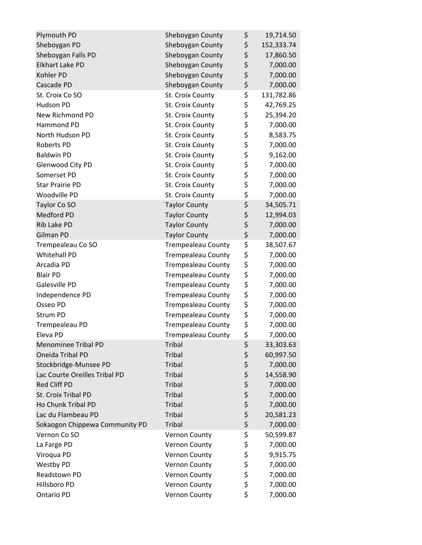| Plymouth PD                    | Sheboygan County          | \$       | 19,714.50  |
|--------------------------------|---------------------------|----------|------------|
| Sheboygan PD                   | Sheboygan County          | \$       | 152,333.74 |
| Sheboygan Falls PD             | Sheboygan County          | \$       | 17,860.50  |
| Elkhart Lake PD                | Sheboygan County          | \$       | 7,000.00   |
| Kohler PD                      | Sheboygan County          | \$       | 7,000.00   |
| Cascade PD                     | Sheboygan County          | \$       | 7,000.00   |
| St. Croix Co SO                | St. Croix County          | \$       | 131,782.86 |
| Hudson PD                      | St. Croix County          | \$       | 42,769.25  |
| New Richmond PD                | St. Croix County          | \$       | 25,394.20  |
| Hammond PD                     | St. Croix County          | \$       | 7,000.00   |
| North Hudson PD                | St. Croix County          | \$       | 8,583.75   |
| Roberts PD                     | St. Croix County          | \$       | 7,000.00   |
| <b>Baldwin PD</b>              | St. Croix County          | \$       | 9,162.00   |
| Glenwood City PD               | St. Croix County          | \$       | 7,000.00   |
| Somerset PD                    | St. Croix County          | \$       | 7,000.00   |
| <b>Star Prairie PD</b>         | St. Croix County          | \$       | 7,000.00   |
| Woodville PD                   | St. Croix County          | \$       | 7,000.00   |
| Taylor Co SO                   | <b>Taylor County</b>      | \$       | 34,505.71  |
| Medford PD                     | <b>Taylor County</b>      | \$       | 12,994.03  |
| Rib Lake PD                    | <b>Taylor County</b>      | \$       | 7,000.00   |
| Gilman PD                      | <b>Taylor County</b>      | \$       | 7,000.00   |
| Trempealeau Co SO              | <b>Trempealeau County</b> | \$       | 38,507.67  |
| Whitehall PD                   | <b>Trempealeau County</b> | \$       | 7,000.00   |
| Arcadia PD                     | <b>Trempealeau County</b> | \$       | 7,000.00   |
| <b>Blair PD</b>                | <b>Trempealeau County</b> | \$       | 7,000.00   |
| Galesville PD                  | <b>Trempealeau County</b> | \$       | 7,000.00   |
| Independence PD                | <b>Trempealeau County</b> | \$       | 7,000.00   |
| Osseo PD                       | <b>Trempealeau County</b> | \$       | 7,000.00   |
| Strum PD                       | <b>Trempealeau County</b> | \$       | 7,000.00   |
| Trempealeau PD                 | <b>Trempealeau County</b> | \$       | 7,000.00   |
| Eleva PD                       | <b>Trempealeau County</b> | \$       | 7,000.00   |
| <b>Menominee Tribal PD</b>     | <b>Tribal</b>             | \$       | 33,303.63  |
| Oneida Tribal PD               | <b>Tribal</b>             | \$       | 60,997.50  |
| Stockbridge-Munsee PD          | <b>Tribal</b>             | \$       | 7,000.00   |
| Lac Courte Oreilles Tribal PD  | <b>Tribal</b>             | \$<br>\$ | 14,558.90  |
| <b>Red Cliff PD</b>            | <b>Tribal</b>             |          | 7,000.00   |
| St. Croix Tribal PD            | <b>Tribal</b>             | \$<br>\$ | 7,000.00   |
| Ho Chunk Tribal PD             | <b>Tribal</b>             |          | 7,000.00   |
| Lac du Flambeau PD             | <b>Tribal</b>             | \$       | 20,581.23  |
| Sokaogon Chippewa Community PD | <b>Tribal</b>             | \$       | 7,000.00   |
| Vernon Co SO                   | <b>Vernon County</b>      | \$       | 50,599.87  |
| La Farge PD                    | Vernon County             | \$       | 7,000.00   |
| Viroqua PD                     | Vernon County             | \$       | 9,915.75   |
| Westby PD                      | Vernon County             | \$       | 7,000.00   |
| Readstown PD                   | Vernon County             | \$       | 7,000.00   |
| Hillsboro PD                   | Vernon County             | \$       | 7,000.00   |
| Ontario PD                     | Vernon County             | \$       | 7,000.00   |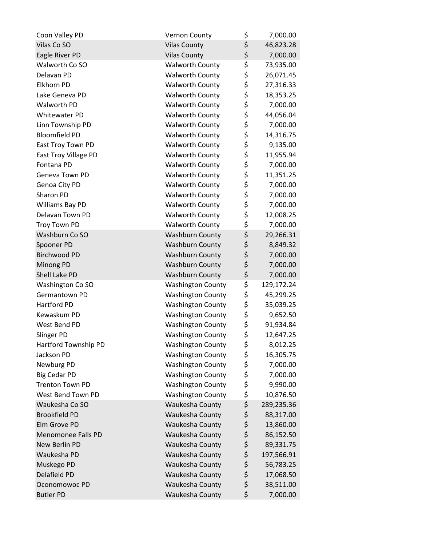| Coon Valley PD            | <b>Vernon County</b>     | \$<br>7,000.00   |
|---------------------------|--------------------------|------------------|
| Vilas Co SO               | <b>Vilas County</b>      | \$<br>46,823.28  |
| Eagle River PD            | <b>Vilas County</b>      | \$<br>7,000.00   |
| Walworth Co SO            | <b>Walworth County</b>   | \$<br>73,935.00  |
| Delavan PD                | <b>Walworth County</b>   | \$<br>26,071.45  |
| Elkhorn PD                | <b>Walworth County</b>   | \$<br>27,316.33  |
| Lake Geneva PD            | <b>Walworth County</b>   | \$<br>18,353.25  |
| Walworth PD               | <b>Walworth County</b>   | \$<br>7,000.00   |
| <b>Whitewater PD</b>      | <b>Walworth County</b>   | \$<br>44,056.04  |
| Linn Township PD          | <b>Walworth County</b>   | \$<br>7,000.00   |
| <b>Bloomfield PD</b>      | <b>Walworth County</b>   | \$<br>14,316.75  |
| East Troy Town PD         | <b>Walworth County</b>   | \$<br>9,135.00   |
| East Troy Village PD      | <b>Walworth County</b>   | \$<br>11,955.94  |
| Fontana PD                | <b>Walworth County</b>   | \$<br>7,000.00   |
| Geneva Town PD            | <b>Walworth County</b>   | \$<br>11,351.25  |
| Genoa City PD             | <b>Walworth County</b>   | \$<br>7,000.00   |
| Sharon PD                 | <b>Walworth County</b>   | \$<br>7,000.00   |
| Williams Bay PD           | <b>Walworth County</b>   | \$<br>7,000.00   |
| Delavan Town PD           | <b>Walworth County</b>   | \$<br>12,008.25  |
| <b>Troy Town PD</b>       | <b>Walworth County</b>   | \$<br>7,000.00   |
| Washburn Co SO            | <b>Washburn County</b>   | \$<br>29,266.31  |
| Spooner PD                | <b>Washburn County</b>   | \$<br>8,849.32   |
| <b>Birchwood PD</b>       | <b>Washburn County</b>   | \$<br>7,000.00   |
| Minong PD                 | <b>Washburn County</b>   | \$<br>7,000.00   |
| Shell Lake PD             | <b>Washburn County</b>   | \$<br>7,000.00   |
| Washington Co SO          | <b>Washington County</b> | \$<br>129,172.24 |
| Germantown PD             | <b>Washington County</b> | \$<br>45,299.25  |
| Hartford PD               | <b>Washington County</b> | \$<br>35,039.25  |
| Kewaskum PD               | <b>Washington County</b> | \$<br>9,652.50   |
| West Bend PD              | <b>Washington County</b> | \$<br>91,934.84  |
| Slinger PD                | <b>Washington County</b> | \$<br>12,647.25  |
| Hartford Township PD      | <b>Washington County</b> | \$<br>8,012.25   |
| Jackson PD                | <b>Washington County</b> | \$<br>16,305.75  |
| Newburg PD                | <b>Washington County</b> | \$<br>7,000.00   |
| <b>Big Cedar PD</b>       | <b>Washington County</b> | \$<br>7,000.00   |
| <b>Trenton Town PD</b>    | <b>Washington County</b> | \$<br>9,990.00   |
| West Bend Town PD         | <b>Washington County</b> | \$<br>10,876.50  |
| Waukesha Co SO            | Waukesha County          | \$<br>289,235.36 |
| <b>Brookfield PD</b>      | Waukesha County          | \$<br>88,317.00  |
| Elm Grove PD              | Waukesha County          | \$<br>13,860.00  |
| <b>Menomonee Falls PD</b> | Waukesha County          | \$<br>86,152.50  |
| New Berlin PD             | Waukesha County          | \$<br>89,331.75  |
| Waukesha PD               | Waukesha County          | \$<br>197,566.91 |
| Muskego PD                | Waukesha County          | \$<br>56,783.25  |
| Delafield PD              | Waukesha County          | \$<br>17,068.50  |
| Oconomowoc PD             | Waukesha County          | \$<br>38,511.00  |
| <b>Butler PD</b>          | Waukesha County          | \$<br>7,000.00   |